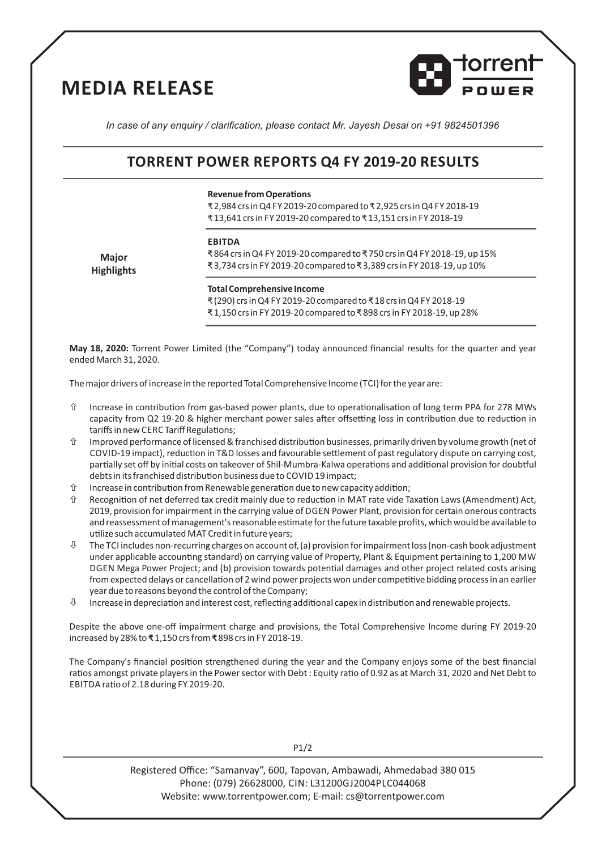# **MEDIA RELEASE**



*In case of any enquiry / clarification, please contact Mr. Jayesh Desai on +91 9824501396*

## **TORRENT POWER REPORTS Q4 FY 2019-20 RESULTS**

#### **Revenue from Operations**

₹ 2,984 crs in Q4 FY 2019-20 compared to ₹ 2,925 crs in Q4 FY 2018-19 ₹ 13,641 crs in FY 2019-20 compared to ₹ 13,151 crs in FY 2018-19

#### **EBITDA**

**Major Highlights**

₹ 864 crs in Q4 FY 2019-20 compared to ₹ 750 crs in Q4 FY 2018-19, up 15% ₹ 3,734 crs in FY 2019-20 compared to ₹ 3,389 crs in FY 2018-19, up 10%

### **Total Comprehensive Income**

₹ (290) crs in Q4 FY 2019-20 compared to ₹ 18 crs in Q4 FY 2018-19 ₹ 1,150 crs in FY 2019-20 compared to ₹ 898 crs in FY 2018-19, up 28%

**May 18, 2020:** Torrent Power Limited (the "Company") today announced financial results for the quarter and year ended March 31, 2020.

The major drivers of increase in the reported Total Comprehensive Income (TCI) for the year are:

- $\hat{U}$  Increase in contribution from gas-based power plants, due to operationalisation of long term PPA for 278 MWs capacity from Q2 19-20 & higher merchant power sales after offsetting loss in contribution due to reduction in tariffs in new CERC Tariff Regulations;
- $\hat{U}$  Improved performance of licensed & franchised distribution businesses, primarily driven by volume growth (net of COVID-19 impact), reduction in T&D losses and favourable settlement of past regulatory dispute on carrying cost, partially set off by initial costs on takeover of Shil-Mumbra-Kalwa operations and additional provision for doubtful debts in its franchised distribution business due to COVID 19 impact;
- $\hat{U}$  Increase in contribution from Renewable generation due to new capacity addition;
- $\hat{U}$  Recognition of net deferred tax credit mainly due to reduction in MAT rate vide Taxation Laws (Amendment) Act, 2019, provision for impairment in the carrying value of DGEN Power Plant, provision for certain onerous contracts and reassessment of management's reasonable estimate for the future taxable profits, which would be available to utilize such accumulated MAT Credit in future years;
- $\uplus$  The TCI includes non-recurring charges on account of, (a) provision for impairment loss (non-cash book adjustment under applicable accounting standard) on carrying value of Property, Plant & Equipment pertaining to 1,200 MW DGEN Mega Power Project; and (b) provision towards potential damages and other project related costs arising from expected delays or cancellation of 2 wind power projects won under competitive bidding process in an earlier year due to reasons beyond the control of the Company;
- $\uptheta$  Increase in depreciation and interest cost, reflecting additional capex in distribution and renewable projects.

Despite the above one-off impairment charge and provisions, the Total Comprehensive Income during FY 2019-20 increased by 28% to **₹** 1,150 crs from **₹** 898 crs in FY 2018-19.

The Company's financial position strengthened during the year and the Company enjoys some of the best financial ratios amongst private players in the Power sector with Debt : Equity ratio of 0.92 as at March 31, 2020 and Net Debt to EBITDA ratio of 2.18 during FY 2019-20.

P1/2

Registered Office: "Samanvay", 600, Tapovan, Ambawadi, Ahmedabad 380 015 Phone: (079) 26628000, CIN: L31200GJ2004PLC044068 Website: www.torrentpower.com; E-mail: cs@torrentpower.com